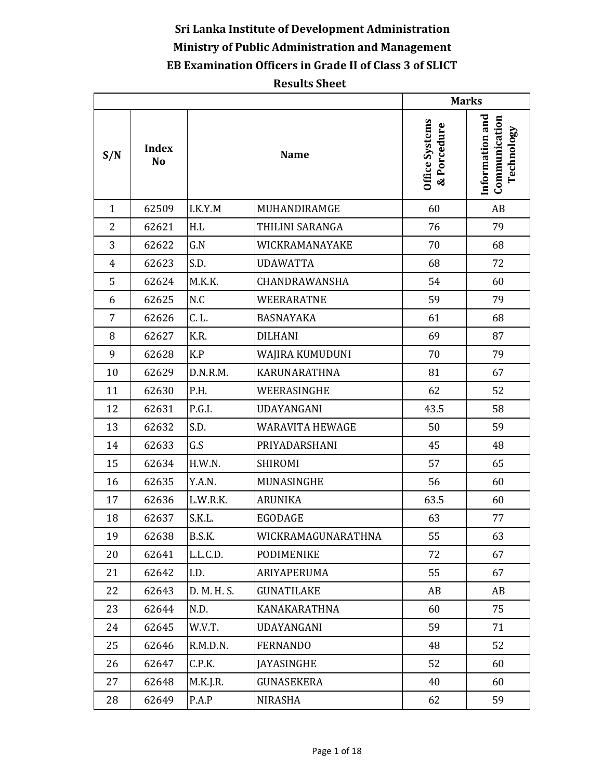## **Sri Lanka Institute of Development Administration Ministry of Public Administration and Management EB Examination Officers in Grade II of Class 3 of SLICT**

## **Results Sheet**

|                |                                |               |                        |                               | <b>Marks</b>                                   |
|----------------|--------------------------------|---------------|------------------------|-------------------------------|------------------------------------------------|
| S/N            | <b>Index</b><br>N <sub>o</sub> |               | <b>Name</b>            | Office Systems<br>& Porcedure | Information and<br>Communication<br>Technology |
| $\mathbf{1}$   | 62509                          | I.K.Y.M       | MUHANDIRAMGE           | 60                            | AB                                             |
| $\overline{2}$ | 62621                          | H.L           | THILINI SARANGA        | 76                            | 79                                             |
| 3              | 62622                          | G.N           | WICKRAMANAYAKE         | 70                            | 68                                             |
| $\overline{4}$ | 62623                          | S.D.          | <b>UDAWATTA</b>        | 68                            | 72                                             |
| 5              | 62624                          | M.K.K.        | CHANDRAWANSHA          | 54                            | 60                                             |
| 6              | 62625                          | N.C           | WEERARATNE             | 59                            | 79                                             |
| 7              | 62626                          | C. L.         | <b>BASNAYAKA</b>       | 61                            | 68                                             |
| 8              | 62627                          | K.R.          | <b>DILHANI</b>         | 69                            | 87                                             |
| 9              | 62628                          | K.P           | WAJIRA KUMUDUNI        | 70                            | 79                                             |
| 10             | 62629                          | D.N.R.M.      | KARUNARATHNA           | 81                            | 67                                             |
| 11             | 62630                          | P.H.          | WEERASINGHE            | 62                            | 52                                             |
| 12             | 62631                          | P.G.I.        | UDAYANGANI             | 43.5                          | 58                                             |
| 13             | 62632                          | S.D.          | <b>WARAVITA HEWAGE</b> | 50                            | 59                                             |
| 14             | 62633                          | G.S           | PRIYADARSHANI          | 45                            | 48                                             |
| 15             | 62634                          | H.W.N.        | <b>SHIROMI</b>         | 57                            | 65                                             |
| 16             | 62635                          | Y.A.N.        | MUNASINGHE             | 56                            | 60                                             |
| 17             | 62636                          | L.W.R.K.      | <b>ARUNIKA</b>         | 63.5                          | 60                                             |
| 18             | 62637                          | S.K.L.        | <b>EGODAGE</b>         | 63                            | 77                                             |
| 19             | 62638                          | <b>B.S.K.</b> | WICKRAMAGUNARATHNA     | 55                            | 63                                             |
| 20             | 62641                          | L.L.C.D.      | PODIMENIKE             | 72                            | 67                                             |
| 21             | 62642                          | I.D.          | ARIYAPERUMA            | 55                            | 67                                             |
| 22             | 62643                          | D. M. H. S.   | <b>GUNATILAKE</b>      | AB                            | AB                                             |
| 23             | 62644                          | N.D.          | <b>KANAKARATHNA</b>    | 60                            | 75                                             |
| 24             | 62645                          | W.V.T.        | <b>UDAYANGANI</b>      | 59                            | 71                                             |
| 25             | 62646                          | R.M.D.N.      | <b>FERNANDO</b>        | 48                            | 52                                             |
| 26             | 62647                          | C.P.K.        | <b>JAYASINGHE</b>      | 52                            | 60                                             |
| 27             | 62648                          | M.K.J.R.      | GUNASEKERA             | 40                            | 60                                             |
| 28             | 62649                          | P.A.P         | NIRASHA                | 62                            | 59                                             |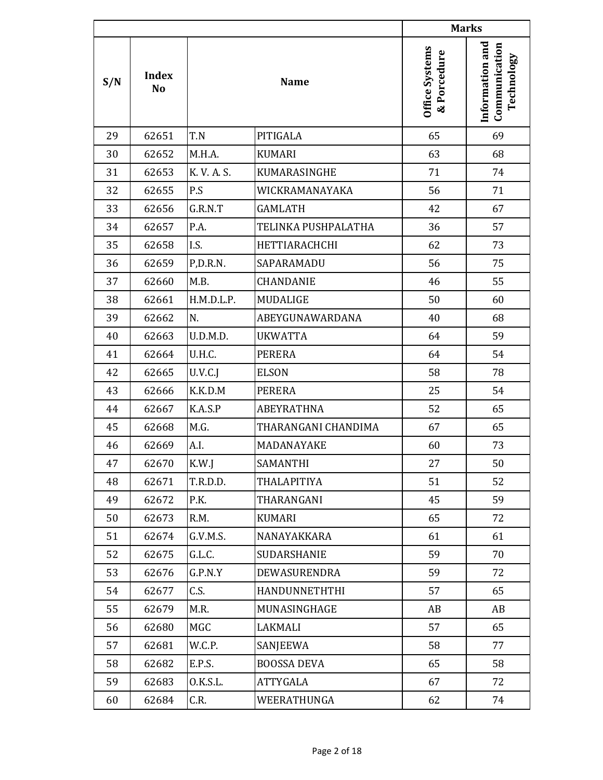|     |                    |             |                     |                                      | <b>Marks</b>                                   |
|-----|--------------------|-------------|---------------------|--------------------------------------|------------------------------------------------|
| S/N | <b>Index</b><br>No |             | <b>Name</b>         | <b>Office Systems</b><br>& Porcedure | Information and<br>Communication<br>Technology |
| 29  | 62651              | T.N         | PITIGALA            | 65                                   | 69                                             |
| 30  | 62652              | M.H.A.      | <b>KUMARI</b>       | 63                                   | 68                                             |
| 31  | 62653              | K. V. A. S. | KUMARASINGHE        | 71                                   | 74                                             |
| 32  | 62655              | P.S         | WICKRAMANAYAKA      | 56                                   | 71                                             |
| 33  | 62656              | G.R.N.T     | <b>GAMLATH</b>      | 42                                   | 67                                             |
| 34  | 62657              | P.A.        | TELINKA PUSHPALATHA | 36                                   | 57                                             |
| 35  | 62658              | I.S.        | HETTIARACHCHI       | 62                                   | 73                                             |
| 36  | 62659              | P,D.R.N.    | SAPARAMADU          | 56                                   | 75                                             |
| 37  | 62660              | M.B.        | <b>CHANDANIE</b>    | 46                                   | 55                                             |
| 38  | 62661              | H.M.D.L.P.  | MUDALIGE            | 50                                   | 60                                             |
| 39  | 62662              | N.          | ABEYGUNAWARDANA     | 40                                   | 68                                             |
| 40  | 62663              | U.D.M.D.    | <b>UKWATTA</b>      | 64                                   | 59                                             |
| 41  | 62664              | U.H.C.      | <b>PERERA</b>       | 64                                   | 54                                             |
| 42  | 62665              | U.V.C.J     | <b>ELSON</b>        | 58                                   | 78                                             |
| 43  | 62666              | K.K.D.M     | PERERA              | 25                                   | 54                                             |
| 44  | 62667              | K.A.S.P     | <b>ABEYRATHNA</b>   | 52                                   | 65                                             |
| 45  | 62668              | M.G.        | THARANGANI CHANDIMA | 67                                   | 65                                             |
| 46  | 62669              | A.I.        | MADANAYAKE          | 60                                   | 73                                             |
| 47  | 62670              | K.W.J       | SAMANTHI            | 27                                   | 50                                             |
| 48  | 62671              | T.R.D.D.    | THALAPITIYA         | 51                                   | 52                                             |
| 49  | 62672              | P.K.        | THARANGANI          | 45                                   | 59                                             |
| 50  | 62673              | R.M.        | KUMARI              | 65                                   | 72                                             |
| 51  | 62674              | G.V.M.S.    | NANAYAKKARA         | 61                                   | 61                                             |
| 52  | 62675              | G.L.C.      | SUDARSHANIE         | 59                                   | 70                                             |
| 53  | 62676              | G.P.N.Y     | DEWASURENDRA        | 59                                   | 72                                             |
| 54  | 62677              | C.S.        | HANDUNNETHTHI       | 57                                   | 65                                             |
| 55  | 62679              | M.R.        | MUNASINGHAGE        | AB                                   | AB                                             |
| 56  | 62680              | MGC         | LAKMALI             | 57                                   | 65                                             |
| 57  | 62681              | W.C.P.      | SANJEEWA            | 58                                   | 77                                             |
| 58  | 62682              | E.P.S.      | <b>BOOSSA DEVA</b>  | 65                                   | 58                                             |
| 59  | 62683              | 0.K.S.L.    | ATTYGALA            | 67                                   | 72                                             |
| 60  | 62684              | C.R.        | WEERATHUNGA         | 62                                   | 74                                             |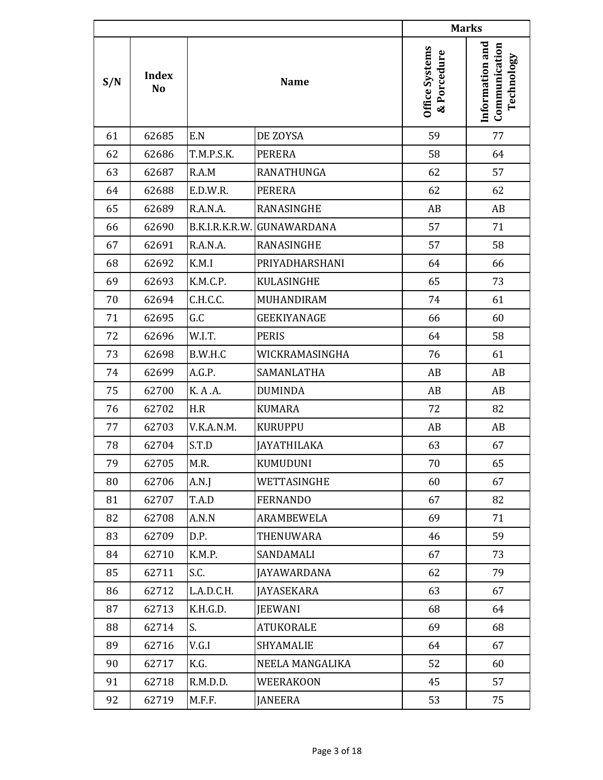|     |                                |            |                            |                                      | <b>Marks</b>                                   |
|-----|--------------------------------|------------|----------------------------|--------------------------------------|------------------------------------------------|
| S/N | <b>Index</b><br>N <sub>o</sub> |            | <b>Name</b>                | <b>Office Systems</b><br>& Porcedure | Information and<br>Communication<br>Technology |
| 61  | 62685                          | E.N        | DE ZOYSA                   | 59                                   | 77                                             |
| 62  | 62686                          | T.M.P.S.K. | <b>PERERA</b>              | 58                                   | 64                                             |
| 63  | 62687                          | R.A.M      | RANATHUNGA                 | 62                                   | 57                                             |
| 64  | 62688                          | E.D.W.R.   | <b>PERERA</b>              | 62                                   | 62                                             |
| 65  | 62689                          | R.A.N.A.   | RANASINGHE                 | AB                                   | AB                                             |
| 66  | 62690                          |            | B.K.I.R.K.R.W. GUNAWARDANA | 57                                   | 71                                             |
| 67  | 62691                          | R.A.N.A.   | RANASINGHE                 | 57                                   | 58                                             |
| 68  | 62692                          | K.M.I      | PRIYADHARSHANI             | 64                                   | 66                                             |
| 69  | 62693                          | K.M.C.P.   | KULASINGHE                 | 65                                   | 73                                             |
| 70  | 62694                          | C.H.C.C.   | MUHANDIRAM                 | 74                                   | 61                                             |
| 71  | 62695                          | G.C        | <b>GEEKIYANAGE</b>         | 66                                   | 60                                             |
| 72  | 62696                          | W.I.T.     | <b>PERIS</b>               | 64                                   | 58                                             |
| 73  | 62698                          | B.W.H.C    | WICKRAMASINGHA             | 76                                   | 61                                             |
| 74  | 62699                          | A.G.P.     | SAMANLATHA                 | AB                                   | AB                                             |
| 75  | 62700                          | K. A .A.   | <b>DUMINDA</b>             | AB                                   | AB                                             |
| 76  | 62702                          | H.R        | <b>KUMARA</b>              | 72                                   | 82                                             |
| 77  | 62703                          | V.K.A.N.M. | <b>KURUPPU</b>             | AB                                   | AB                                             |
| 78  | 62704                          | S.T.D      | <b>JAYATHILAKA</b>         | 63                                   | 67                                             |
| 79  | 62705                          | M.R.       | KUMUDUNI                   | 70                                   | 65                                             |
| 80  | 62706                          | A.N.J      | WETTASINGHE                | 60                                   | 67                                             |
| 81  | 62707                          | T.A.D      | <b>FERNANDO</b>            | 67                                   | 82                                             |
| 82  | 62708                          | A.N.N      | ARAMBEWELA                 | 69                                   | 71                                             |
| 83  | 62709                          | D.P.       | <b>THENUWARA</b>           | 46                                   | 59                                             |
| 84  | 62710                          | K.M.P.     | SANDAMALI                  | 67                                   | 73                                             |
| 85  | 62711                          | S.C.       | <b>JAYAWARDANA</b>         | 62                                   | 79                                             |
| 86  | 62712                          | L.A.D.C.H. | <b>JAYASEKARA</b>          | 63                                   | 67                                             |
| 87  | 62713                          | K.H.G.D.   | <b>JEEWANI</b>             | 68                                   | 64                                             |
| 88  | 62714                          | S.         | ATUKORALE                  | 69                                   | 68                                             |
| 89  | 62716                          | V.G.I      | SHYAMALIE                  | 64                                   | 67                                             |
| 90  | 62717                          | K.G.       | NEELA MANGALIKA            | 52                                   | 60                                             |
| 91  | 62718                          | R.M.D.D.   | <b>WEERAKOON</b>           | 45                                   | 57                                             |
| 92  | 62719                          | M.F.F.     | <b>JANEERA</b>             | 53                                   | 75                                             |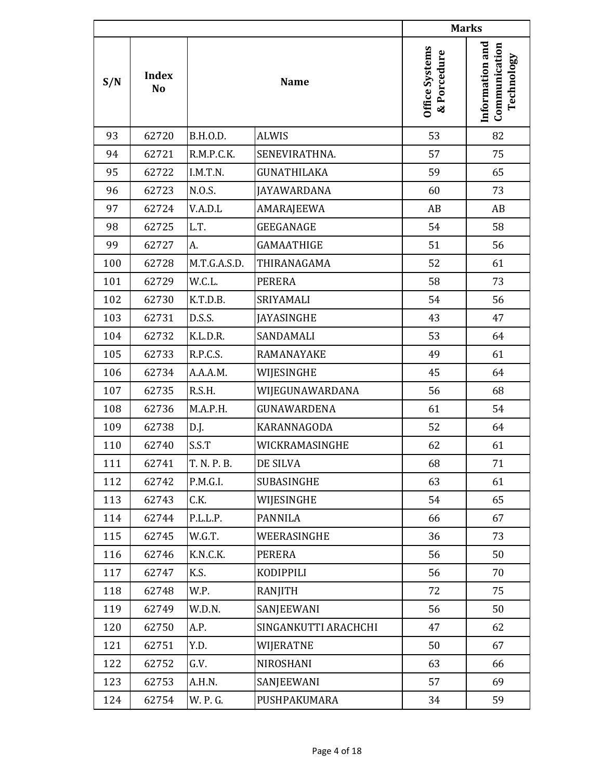|     |                    |                 |                      |                                      | <b>Marks</b>                                   |
|-----|--------------------|-----------------|----------------------|--------------------------------------|------------------------------------------------|
| S/N | <b>Index</b><br>No |                 | <b>Name</b>          | <b>Office Systems</b><br>& Porcedure | Information and<br>Communication<br>Technology |
| 93  | 62720              | <b>B.H.O.D.</b> | <b>ALWIS</b>         | 53                                   | 82                                             |
| 94  | 62721              | R.M.P.C.K.      | SENEVIRATHNA.        | 57                                   | 75                                             |
| 95  | 62722              | I.M.T.N.        | <b>GUNATHILAKA</b>   | 59                                   | 65                                             |
| 96  | 62723              | N.O.S.          | <b>JAYAWARDANA</b>   | 60                                   | 73                                             |
| 97  | 62724              | V.A.D.L         | AMARAJEEWA           | AB                                   | AB                                             |
| 98  | 62725              | L.T.            | <b>GEEGANAGE</b>     | 54                                   | 58                                             |
| 99  | 62727              | A.              | <b>GAMAATHIGE</b>    | 51                                   | 56                                             |
| 100 | 62728              | M.T.G.A.S.D.    | THIRANAGAMA          | 52                                   | 61                                             |
| 101 | 62729              | W.C.L.          | <b>PERERA</b>        | 58                                   | 73                                             |
| 102 | 62730              | K.T.D.B.        | SRIYAMALI            | 54                                   | 56                                             |
| 103 | 62731              | D.S.S.          | <b>JAYASINGHE</b>    | 43                                   | 47                                             |
| 104 | 62732              | K.L.D.R.        | SANDAMALI            | 53                                   | 64                                             |
| 105 | 62733              | R.P.C.S.        | RAMANAYAKE           | 49                                   | 61                                             |
| 106 | 62734              | A.A.A.M.        | WIJESINGHE           | 45                                   | 64                                             |
| 107 | 62735              | R.S.H.          | WIJEGUNAWARDANA      | 56                                   | 68                                             |
| 108 | 62736              | M.A.P.H.        | GUNAWARDENA          | 61                                   | 54                                             |
| 109 | 62738              | D.J.            | KARANNAGODA          | 52                                   | 64                                             |
| 110 | 62740              | S.S.T           | WICKRAMASINGHE       | 62                                   | 61                                             |
| 111 | 62741              | T. N. P. B.     | DE SILVA             | 68                                   | 71                                             |
| 112 | 62742              | P.M.G.I.        | SUBASINGHE           | 63                                   | 61                                             |
| 113 | 62743              | C.K.            | WIJESINGHE           | 54                                   | 65                                             |
| 114 | 62744              | P.L.L.P.        | <b>PANNILA</b>       | 66                                   | 67                                             |
| 115 | 62745              | W.G.T.          | WEERASINGHE          | 36                                   | 73                                             |
| 116 | 62746              | K.N.C.K.        | PERERA               | 56                                   | 50                                             |
| 117 | 62747              | K.S.            | KODIPPILI            | 56                                   | 70                                             |
| 118 | 62748              | W.P.            | RANJITH              | 72                                   | 75                                             |
| 119 | 62749              | W.D.N.          | SANJEEWANI           | 56                                   | 50                                             |
| 120 | 62750              | A.P.            | SINGANKUTTI ARACHCHI | 47                                   | 62                                             |
| 121 | 62751              | Y.D.            | WIJERATNE            | 50                                   | 67                                             |
| 122 | 62752              | G.V.            | NIROSHANI            | 63                                   | 66                                             |
| 123 | 62753              | A.H.N.          | SANJEEWANI           | 57                                   | 69                                             |
| 124 | 62754              | W. P. G.        | PUSHPAKUMARA         | 34                                   | 59                                             |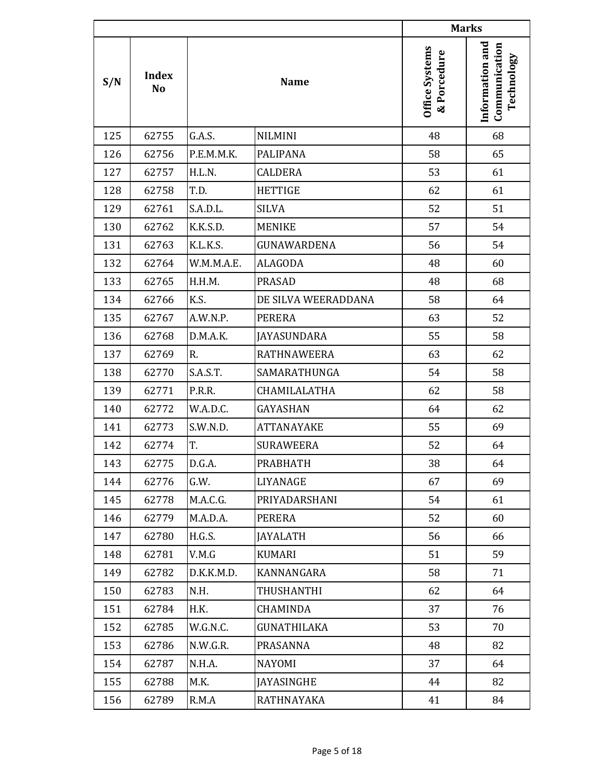|     |                                |            |                     |                               | <b>Marks</b>                                   |
|-----|--------------------------------|------------|---------------------|-------------------------------|------------------------------------------------|
| S/N | <b>Index</b><br>N <sub>o</sub> |            | <b>Name</b>         | Office Systems<br>& Porcedure | Information and<br>Communication<br>Technology |
| 125 | 62755                          | G.A.S.     | <b>NILMINI</b>      | 48                            | 68                                             |
| 126 | 62756                          | P.E.M.M.K. | <b>PALIPANA</b>     | 58                            | 65                                             |
| 127 | 62757                          | H.L.N.     | <b>CALDERA</b>      | 53                            | 61                                             |
| 128 | 62758                          | T.D.       | <b>HETTIGE</b>      | 62                            | 61                                             |
| 129 | 62761                          | S.A.D.L.   | <b>SILVA</b>        | 52                            | 51                                             |
| 130 | 62762                          | K.K.S.D.   | <b>MENIKE</b>       | 57                            | 54                                             |
| 131 | 62763                          | K.L.K.S.   | GUNAWARDENA         | 56                            | 54                                             |
| 132 | 62764                          | W.M.M.A.E. | <b>ALAGODA</b>      | 48                            | 60                                             |
| 133 | 62765                          | H.H.M.     | <b>PRASAD</b>       | 48                            | 68                                             |
| 134 | 62766                          | K.S.       | DE SILVA WEERADDANA | 58                            | 64                                             |
| 135 | 62767                          | A.W.N.P.   | <b>PERERA</b>       | 63                            | 52                                             |
| 136 | 62768                          | D.M.A.K.   | JAYASUNDARA         | 55                            | 58                                             |
| 137 | 62769                          | R.         | <b>RATHNAWEERA</b>  | 63                            | 62                                             |
| 138 | 62770                          | S.A.S.T.   | SAMARATHUNGA        | 54                            | 58                                             |
| 139 | 62771                          | P.R.R.     | CHAMILALATHA        | 62                            | 58                                             |
| 140 | 62772                          | W.A.D.C.   | <b>GAYASHAN</b>     | 64                            | 62                                             |
| 141 | 62773                          | S.W.N.D.   | <b>ATTANAYAKE</b>   | 55                            | 69                                             |
| 142 | 62774                          | T.         | <b>SURAWEERA</b>    | 52                            | 64                                             |
| 143 | 62775                          | D.G.A.     | <b>PRABHATH</b>     | 38                            | 64                                             |
| 144 | 62776                          | G.W.       | LIYANAGE            | 67                            | 69                                             |
| 145 | 62778                          | M.A.C.G.   | PRIYADARSHANI       | 54                            | 61                                             |
| 146 | 62779                          | M.A.D.A.   | PERERA              | 52                            | 60                                             |
| 147 | 62780                          | H.G.S.     | <b>JAYALATH</b>     | 56                            | 66                                             |
| 148 | 62781                          | V.M.G      | KUMARI              | 51                            | 59                                             |
| 149 | 62782                          | D.K.K.M.D. | KANNANGARA          | 58                            | 71                                             |
| 150 | 62783                          | N.H.       | THUSHANTHI          | 62                            | 64                                             |
| 151 | 62784                          | H.K.       | CHAMINDA            | 37                            | 76                                             |
| 152 | 62785                          | W.G.N.C.   | GUNATHILAKA         | 53                            | 70                                             |
| 153 | 62786                          | N.W.G.R.   | PRASANNA            | 48                            | 82                                             |
| 154 | 62787                          | N.H.A.     | NAYOMI              | 37                            | 64                                             |
| 155 | 62788                          | M.K.       | JAYASINGHE          | 44                            | 82                                             |
| 156 | 62789                          | R.M.A      | RATHNAYAKA          | 41                            | 84                                             |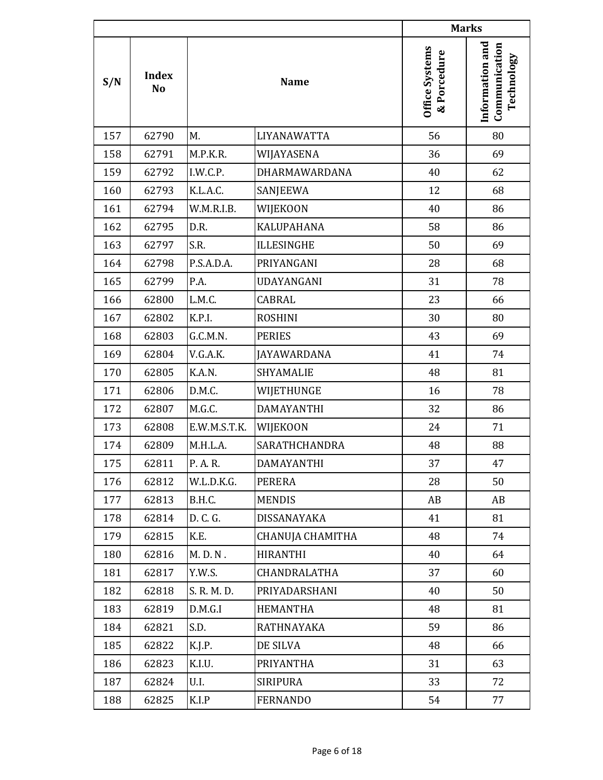|     |                                |              |                      |                               | <b>Marks</b>                                   |
|-----|--------------------------------|--------------|----------------------|-------------------------------|------------------------------------------------|
| S/N | <b>Index</b><br>N <sub>o</sub> |              | <b>Name</b>          | Office Systems<br>& Porcedure | Information and<br>Communication<br>Technology |
| 157 | 62790                          | M.           | LIYANAWATTA          | 56                            | 80                                             |
| 158 | 62791                          | M.P.K.R.     | WIJAYASENA           | 36                            | 69                                             |
| 159 | 62792                          | I.W.C.P.     | DHARMAWARDANA        | 40                            | 62                                             |
| 160 | 62793                          | K.L.A.C.     | SANJEEWA             | 12                            | 68                                             |
| 161 | 62794                          | W.M.R.I.B.   | WIJEKOON             | 40                            | 86                                             |
| 162 | 62795                          | D.R.         | <b>KALUPAHANA</b>    | 58                            | 86                                             |
| 163 | 62797                          | S.R.         | <b>ILLESINGHE</b>    | 50                            | 69                                             |
| 164 | 62798                          | P.S.A.D.A.   | PRIYANGANI           | 28                            | 68                                             |
| 165 | 62799                          | P.A.         | UDAYANGANI           | 31                            | 78                                             |
| 166 | 62800                          | L.M.C.       | CABRAL               | 23                            | 66                                             |
| 167 | 62802                          | K.P.I.       | <b>ROSHINI</b>       | 30                            | 80                                             |
| 168 | 62803                          | G.C.M.N.     | <b>PERIES</b>        | 43                            | 69                                             |
| 169 | 62804                          | V.G.A.K.     | JAYAWARDANA          | 41                            | 74                                             |
| 170 | 62805                          | K.A.N.       | SHYAMALIE            | 48                            | 81                                             |
| 171 | 62806                          | D.M.C.       | WIJETHUNGE           | 16                            | 78                                             |
| 172 | 62807                          | M.G.C.       | <b>DAMAYANTHI</b>    | 32                            | 86                                             |
| 173 | 62808                          | E.W.M.S.T.K. | WIJEKOON             | 24                            | 71                                             |
| 174 | 62809                          | M.H.L.A.     | <b>SARATHCHANDRA</b> | 48                            | 88                                             |
| 175 | 62811                          | P. A. R.     | DAMAYANTHI           | 37                            | 47                                             |
| 176 | 62812                          | W.L.D.K.G.   | PERERA               | 28                            | 50                                             |
| 177 | 62813                          | B.H.C.       | <b>MENDIS</b>        | AB                            | AB                                             |
| 178 | 62814                          | D. C. G.     | DISSANAYAKA          | 41                            | 81                                             |
| 179 | 62815                          | K.E.         | CHANUJA CHAMITHA     | 48                            | 74                                             |
| 180 | 62816                          | M.D.N.       | <b>HIRANTHI</b>      | 40                            | 64                                             |
| 181 | 62817                          | Y.W.S.       | CHANDRALATHA         | 37                            | 60                                             |
| 182 | 62818                          | S. R. M. D.  | PRIYADARSHANI        | 40                            | 50                                             |
| 183 | 62819                          | D.M.G.I      | <b>HEMANTHA</b>      | 48                            | 81                                             |
| 184 | 62821                          | S.D.         | RATHNAYAKA           | 59                            | 86                                             |
| 185 | 62822                          | K.J.P.       | DE SILVA             | 48                            | 66                                             |
| 186 | 62823                          | K.I.U.       | PRIYANTHA            | 31                            | 63                                             |
| 187 | 62824                          | U.I.         | SIRIPURA             | 33                            | 72                                             |
| 188 | 62825                          | K.I.P        | <b>FERNANDO</b>      | 54                            | 77                                             |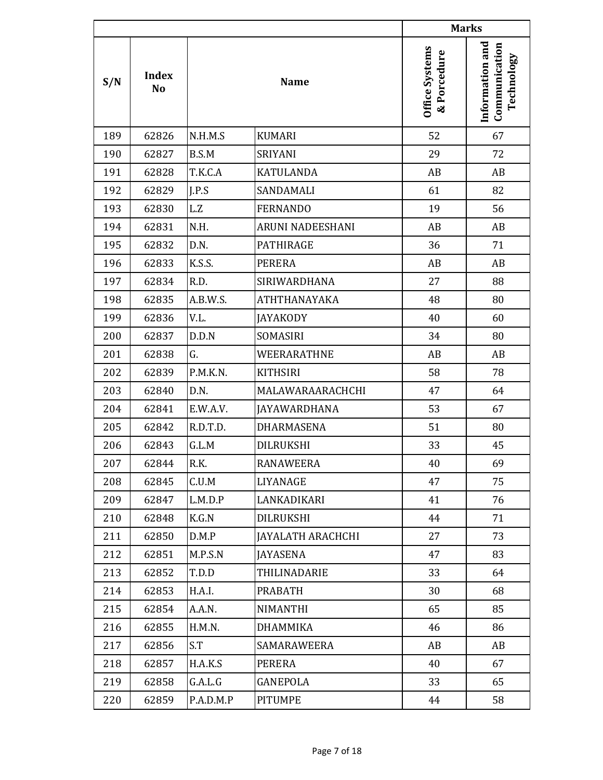|     |                                |           |                          |                               | <b>Marks</b>                                   |
|-----|--------------------------------|-----------|--------------------------|-------------------------------|------------------------------------------------|
| S/N | <b>Index</b><br>N <sub>o</sub> |           | <b>Name</b>              | Office Systems<br>& Porcedure | Information and<br>Communication<br>Technology |
| 189 | 62826                          | N.H.M.S   | <b>KUMARI</b>            | 52                            | 67                                             |
| 190 | 62827                          | B.S.M     | SRIYANI                  | 29                            | 72                                             |
| 191 | 62828                          | T.K.C.A   | <b>KATULANDA</b>         | AB                            | AB                                             |
| 192 | 62829                          | I.P.S     | SANDAMALI                | 61                            | 82                                             |
| 193 | 62830                          | L.Z       | <b>FERNANDO</b>          | 19                            | 56                                             |
| 194 | 62831                          | N.H.      | ARUNI NADEESHANI         | AB                            | AB                                             |
| 195 | 62832                          | D.N.      | <b>PATHIRAGE</b>         | 36                            | 71                                             |
| 196 | 62833                          | K.S.S.    | <b>PERERA</b>            | AB                            | AB                                             |
| 197 | 62834                          | R.D.      | SIRIWARDHANA             | 27                            | 88                                             |
| 198 | 62835                          | A.B.W.S.  | ATHTHANAYAKA             | 48                            | 80                                             |
| 199 | 62836                          | V.L.      | <b>JAYAKODY</b>          | 40                            | 60                                             |
| 200 | 62837                          | D.D.N     | SOMASIRI                 | 34                            | 80                                             |
| 201 | 62838                          | G.        | WEERARATHNE              | AB                            | AB                                             |
| 202 | 62839                          | P.M.K.N.  | <b>KITHSIRI</b>          | 58                            | 78                                             |
| 203 | 62840                          | D.N.      | MALAWARAARACHCHI         | 47                            | 64                                             |
| 204 | 62841                          | E.W.A.V.  | <b>JAYAWARDHANA</b>      | 53                            | 67                                             |
| 205 | 62842                          | R.D.T.D.  | DHARMASENA               | 51                            | 80                                             |
| 206 | 62843                          | G.L.M     | DILRUKSHI                | 33                            | 45                                             |
| 207 | 62844                          | R.K.      | <b>RANAWEERA</b>         | 40                            | 69                                             |
| 208 | 62845                          | C.U.M     | LIYANAGE                 | 47                            | 75                                             |
| 209 | 62847                          | L.M.D.P   | LANKADIKARI              | 41                            | 76                                             |
| 210 | 62848                          | K.G.N     | DILRUKSHI                | 44                            | 71                                             |
| 211 | 62850                          | D.M.P     | <b>JAYALATH ARACHCHI</b> | 27                            | 73                                             |
| 212 | 62851                          | M.P.S.N   | JAYASENA                 | 47                            | 83                                             |
| 213 | 62852                          | T.D.D     | THILINADARIE             | 33                            | 64                                             |
| 214 | 62853                          | H.A.I.    | <b>PRABATH</b>           | 30                            | 68                                             |
| 215 | 62854                          | A.A.N.    | NIMANTHI                 | 65                            | 85                                             |
| 216 | 62855                          | H.M.N.    | DHAMMIKA                 | 46                            | 86                                             |
| 217 | 62856                          | S.T       | SAMARAWEERA              | AB                            | AB                                             |
| 218 | 62857                          | H.A.K.S   | PERERA                   | 40                            | 67                                             |
| 219 | 62858                          | G.A.L.G   | GANEPOLA                 | 33                            | 65                                             |
| 220 | 62859                          | P.A.D.M.P | <b>PITUMPE</b>           | 44                            | 58                                             |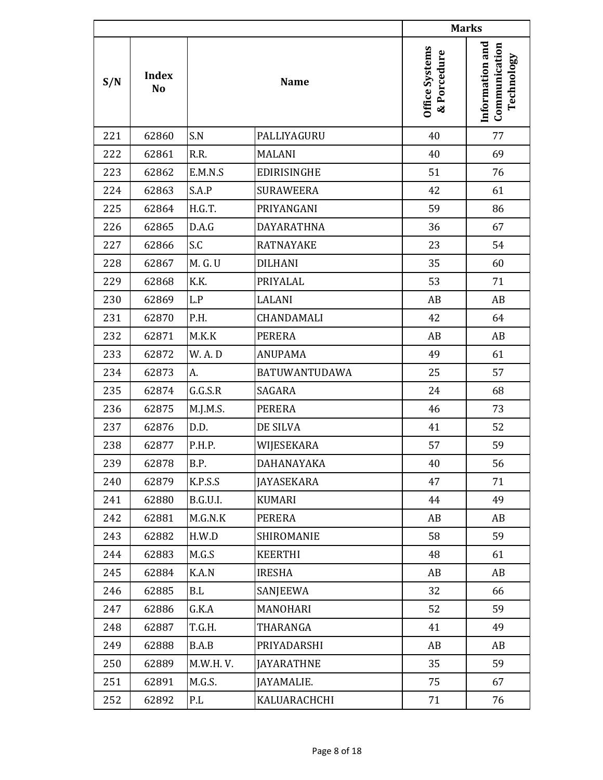|     |                                |          |                      |                               | <b>Marks</b>                                   |
|-----|--------------------------------|----------|----------------------|-------------------------------|------------------------------------------------|
| S/N | <b>Index</b><br>N <sub>o</sub> |          | <b>Name</b>          | Office Systems<br>& Porcedure | Information and<br>Communication<br>Technology |
| 221 | 62860                          | S.N      | PALLIYAGURU          | 40                            | 77                                             |
| 222 | 62861                          | R.R.     | <b>MALANI</b>        | 40                            | 69                                             |
| 223 | 62862                          | E.M.N.S  | <b>EDIRISINGHE</b>   | 51                            | 76                                             |
| 224 | 62863                          | S.A.P    | <b>SURAWEERA</b>     | 42                            | 61                                             |
| 225 | 62864                          | H.G.T.   | PRIYANGANI           | 59                            | 86                                             |
| 226 | 62865                          | D.A.G    | DAYARATHNA           | 36                            | 67                                             |
| 227 | 62866                          | S.C      | <b>RATNAYAKE</b>     | 23                            | 54                                             |
| 228 | 62867                          | M. G. U  | <b>DILHANI</b>       | 35                            | 60                                             |
| 229 | 62868                          | K.K.     | PRIYALAL             | 53                            | 71                                             |
| 230 | 62869                          | L.P      | LALANI               | AB                            | AB                                             |
| 231 | 62870                          | P.H.     | CHANDAMALI           | 42                            | 64                                             |
| 232 | 62871                          | M.K.K    | <b>PERERA</b>        | AB                            | AB                                             |
| 233 | 62872                          | W.A.D    | <b>ANUPAMA</b>       | 49                            | 61                                             |
| 234 | 62873                          | A.       | <b>BATUWANTUDAWA</b> | 25                            | 57                                             |
| 235 | 62874                          | G.G.S.R  | SAGARA               | 24                            | 68                                             |
| 236 | 62875                          | M.J.M.S. | <b>PERERA</b>        | 46                            | 73                                             |
| 237 | 62876                          | D.D.     | DE SILVA             | 41                            | 52                                             |
| 238 | 62877                          | P.H.P.   | WIJESEKARA           | 57                            | 59                                             |
| 239 | 62878                          | B.P.     | DAHANAYAKA           | 40                            | 56                                             |
| 240 | 62879                          | K.P.S.S  | <b>JAYASEKARA</b>    | 47                            | 71                                             |
| 241 | 62880                          | B.G.U.I. | <b>KUMARI</b>        | 44                            | 49                                             |
| 242 | 62881                          | M.G.N.K  | PERERA               | AB                            | AB                                             |
| 243 | 62882                          | H.W.D    | SHIROMANIE           | 58                            | 59                                             |
| 244 | 62883                          | M.G.S    | <b>KEERTHI</b>       | 48                            | 61                                             |
| 245 | 62884                          | K.A.N    | <b>IRESHA</b>        | AB                            | AB                                             |
| 246 | 62885                          | B.L      | SANJEEWA             | 32                            | 66                                             |
| 247 | 62886                          | G.K.A    | MANOHARI             | 52                            | 59                                             |
| 248 | 62887                          | T.G.H.   | THARANGA             | 41                            | 49                                             |
| 249 | 62888                          | B.A.B    | PRIYADARSHI          | AB                            | AB                                             |
| 250 | 62889                          | M.W.H.V. | <b>JAYARATHNE</b>    | 35                            | 59                                             |
| 251 | 62891                          | M.G.S.   | JAYAMALIE.           | 75                            | 67                                             |
| 252 | 62892                          | P.L      | KALUARACHCHI         | 71                            | 76                                             |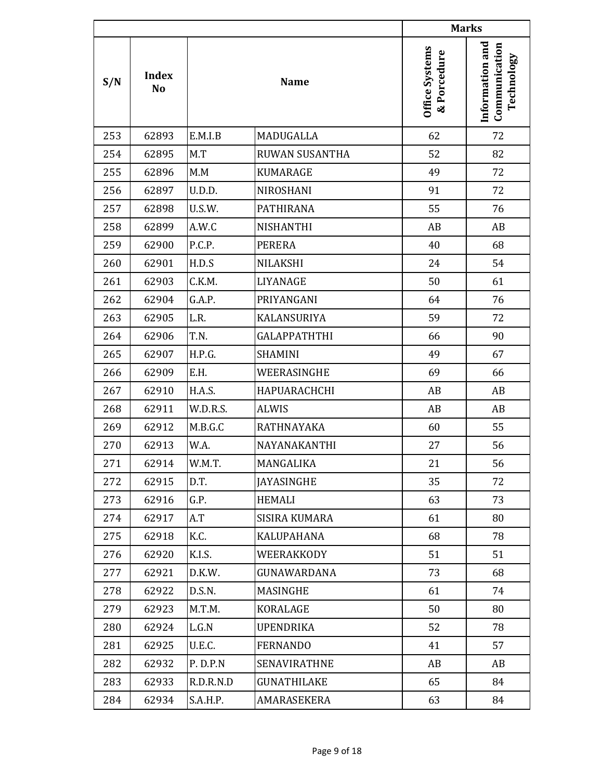|     |                                |           |                       |                               | <b>Marks</b>                                   |
|-----|--------------------------------|-----------|-----------------------|-------------------------------|------------------------------------------------|
| S/N | <b>Index</b><br>N <sub>o</sub> |           | <b>Name</b>           | Office Systems<br>& Porcedure | Information and<br>Communication<br>Technology |
| 253 | 62893                          | E.M.I.B   | MADUGALLA             | 62                            | 72                                             |
| 254 | 62895                          | M.T       | <b>RUWAN SUSANTHA</b> | 52                            | 82                                             |
| 255 | 62896                          | M.M       | <b>KUMARAGE</b>       | 49                            | 72                                             |
| 256 | 62897                          | U.D.D.    | NIROSHANI             | 91                            | 72                                             |
| 257 | 62898                          | U.S.W.    | <b>PATHIRANA</b>      | 55                            | 76                                             |
| 258 | 62899                          | A.W.C     | NISHANTHI             | AB                            | AB                                             |
| 259 | 62900                          | P.C.P.    | <b>PERERA</b>         | 40                            | 68                                             |
| 260 | 62901                          | H.D.S     | <b>NILAKSHI</b>       | 24                            | 54                                             |
| 261 | 62903                          | C.K.M.    | LIYANAGE              | 50                            | 61                                             |
| 262 | 62904                          | G.A.P.    | PRIYANGANI            | 64                            | 76                                             |
| 263 | 62905                          | L.R.      | <b>KALANSURIYA</b>    | 59                            | 72                                             |
| 264 | 62906                          | T.N.      | <b>GALAPPATHTHI</b>   | 66                            | 90                                             |
| 265 | 62907                          | H.P.G.    | <b>SHAMINI</b>        | 49                            | 67                                             |
| 266 | 62909                          | E.H.      | WEERASINGHE           | 69                            | 66                                             |
| 267 | 62910                          | H.A.S.    | HAPUARACHCHI          | AB                            | AB                                             |
| 268 | 62911                          | W.D.R.S.  | <b>ALWIS</b>          | AB                            | AB                                             |
| 269 | 62912                          | M.B.G.C   | RATHNAYAKA            | 60                            | 55                                             |
| 270 | 62913                          | W.A.      | NAYANAKANTHI          | 27                            | 56                                             |
| 271 | 62914                          | W.M.T.    | MANGALIKA             | 21                            | 56                                             |
| 272 | 62915                          | D.T.      | <b>JAYASINGHE</b>     | 35                            | 72                                             |
| 273 | 62916                          | G.P.      | <b>HEMALI</b>         | 63                            | 73                                             |
| 274 | 62917                          | A.T       | <b>SISIRA KUMARA</b>  | 61                            | 80                                             |
| 275 | 62918                          | K.C.      | <b>KALUPAHANA</b>     | 68                            | 78                                             |
| 276 | 62920                          | K.I.S.    | WEERAKKODY            | 51                            | 51                                             |
| 277 | 62921                          | D.K.W.    | <b>GUNAWARDANA</b>    | 73                            | 68                                             |
| 278 | 62922                          | D.S.N.    | MASINGHE              | 61                            | 74                                             |
| 279 | 62923                          | M.T.M.    | KORALAGE              | 50                            | 80                                             |
| 280 | 62924                          | L.G.N     | <b>UPENDRIKA</b>      | 52                            | 78                                             |
| 281 | 62925                          | U.E.C.    | <b>FERNANDO</b>       | 41                            | 57                                             |
| 282 | 62932                          | P. D.P.N  | <b>SENAVIRATHNE</b>   | AB                            | AB                                             |
| 283 | 62933                          | R.D.R.N.D | <b>GUNATHILAKE</b>    | 65                            | 84                                             |
| 284 | 62934                          | S.A.H.P.  | AMARASEKERA           | 63                            | 84                                             |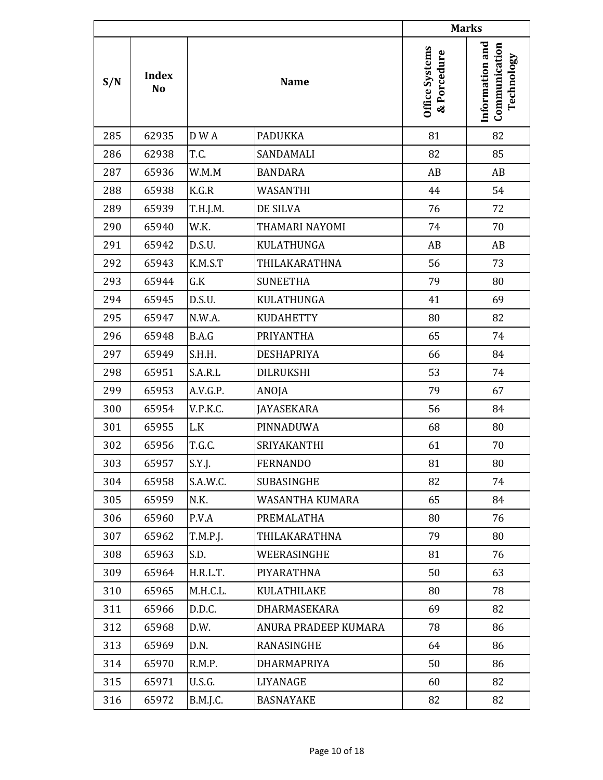|     |                                |          |                      |                               | <b>Marks</b>                                   |
|-----|--------------------------------|----------|----------------------|-------------------------------|------------------------------------------------|
| S/N | <b>Index</b><br>N <sub>o</sub> |          | <b>Name</b>          | Office Systems<br>& Porcedure | Information and<br>Communication<br>Technology |
| 285 | 62935                          | D W A    | <b>PADUKKA</b>       | 81                            | 82                                             |
| 286 | 62938                          | T.C.     | SANDAMALI            | 82                            | 85                                             |
| 287 | 65936                          | W.M.M    | <b>BANDARA</b>       | AB                            | AB                                             |
| 288 | 65938                          | K.G.R    | WASANTHI             | 44                            | 54                                             |
| 289 | 65939                          | T.H.J.M. | DE SILVA             | 76                            | 72                                             |
| 290 | 65940                          | W.K.     | THAMARI NAYOMI       | 74                            | 70                                             |
| 291 | 65942                          | D.S.U.   | KULATHUNGA           | AB                            | AB                                             |
| 292 | 65943                          | K.M.S.T  | THILAKARATHNA        | 56                            | 73                                             |
| 293 | 65944                          | G.K      | <b>SUNEETHA</b>      | 79                            | 80                                             |
| 294 | 65945                          | D.S.U.   | KULATHUNGA           | 41                            | 69                                             |
| 295 | 65947                          | N.W.A.   | <b>KUDAHETTY</b>     | 80                            | 82                                             |
| 296 | 65948                          | B.A.G    | PRIYANTHA            | 65                            | 74                                             |
| 297 | 65949                          | S.H.H.   | <b>DESHAPRIYA</b>    | 66                            | 84                                             |
| 298 | 65951                          | S.A.R.L  | <b>DILRUKSHI</b>     | 53                            | 74                                             |
| 299 | 65953                          | A.V.G.P. | ANOJA                | 79                            | 67                                             |
| 300 | 65954                          | V.P.K.C. | <b>JAYASEKARA</b>    | 56                            | 84                                             |
| 301 | 65955                          | L.K      | PINNADUWA            | 68                            | 80                                             |
| 302 | 65956                          | T.G.C.   | SRIYAKANTHI          | 61                            | 70                                             |
| 303 | 65957                          | S.Y.J.   | FERNANDO             | 81                            | 80                                             |
| 304 | 65958                          | S.A.W.C. | SUBASINGHE           | 82                            | 74                                             |
| 305 | 65959                          | N.K.     | WASANTHA KUMARA      | 65                            | 84                                             |
| 306 | 65960                          | P.V.A    | PREMALATHA           | 80                            | 76                                             |
| 307 | 65962                          | T.M.P.J. | THILAKARATHNA        | 79                            | 80                                             |
| 308 | 65963                          | S.D.     | WEERASINGHE          | 81                            | 76                                             |
| 309 | 65964                          | H.R.L.T. | PIYARATHNA           | 50                            | 63                                             |
| 310 | 65965                          | M.H.C.L. | KULATHILAKE          | 80                            | 78                                             |
| 311 | 65966                          | D.D.C.   | <b>DHARMASEKARA</b>  | 69                            | 82                                             |
| 312 | 65968                          | D.W.     | ANURA PRADEEP KUMARA | 78                            | 86                                             |
| 313 | 65969                          | D.N.     | RANASINGHE           | 64                            | 86                                             |
| 314 | 65970                          | R.M.P.   | DHARMAPRIYA          | 50                            | 86                                             |
| 315 | 65971                          | U.S.G.   | LIYANAGE             | 60                            | 82                                             |
| 316 | 65972                          | B.M.J.C. | <b>BASNAYAKE</b>     | 82                            | 82                                             |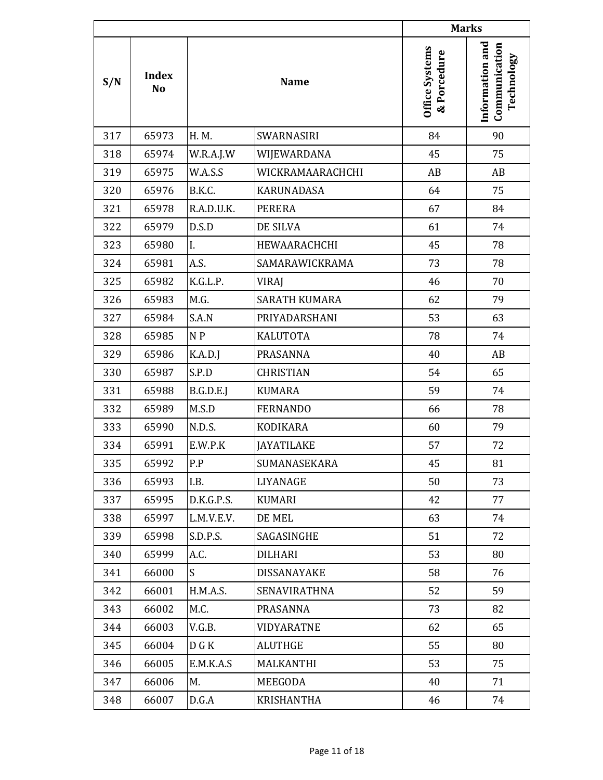|     |                                |            |                     |                                      | <b>Marks</b>                                   |
|-----|--------------------------------|------------|---------------------|--------------------------------------|------------------------------------------------|
| S/N | <b>Index</b><br>N <sub>o</sub> |            | <b>Name</b>         | <b>Office Systems</b><br>& Porcedure | Information and<br>Communication<br>Technology |
| 317 | 65973                          | H. M.      | SWARNASIRI          | 84                                   | 90                                             |
| 318 | 65974                          | W.R.A.J.W  | WIJEWARDANA         | 45                                   | 75                                             |
| 319 | 65975                          | W.A.S.S    | WICKRAMAARACHCHI    | AB                                   | AB                                             |
| 320 | 65976                          | B.K.C.     | <b>KARUNADASA</b>   | 64                                   | 75                                             |
| 321 | 65978                          | R.A.D.U.K. | <b>PERERA</b>       | 67                                   | 84                                             |
| 322 | 65979                          | D.S.D      | DE SILVA            | 61                                   | 74                                             |
| 323 | 65980                          | I.         | HEWAARACHCHI        | 45                                   | 78                                             |
| 324 | 65981                          | A.S.       | SAMARAWICKRAMA      | 73                                   | 78                                             |
| 325 | 65982                          | K.G.L.P.   | VIRAJ               | 46                                   | 70                                             |
| 326 | 65983                          | M.G.       | SARATH KUMARA       | 62                                   | 79                                             |
| 327 | 65984                          | S.A.N      | PRIYADARSHANI       | 53                                   | 63                                             |
| 328 | 65985                          | N P        | <b>KALUTOTA</b>     | 78                                   | 74                                             |
| 329 | 65986                          | K.A.D.J    | PRASANNA            | 40                                   | AB                                             |
| 330 | 65987                          | S.P.D      | <b>CHRISTIAN</b>    | 54                                   | 65                                             |
| 331 | 65988                          | B.G.D.E.J  | <b>KUMARA</b>       | 59                                   | 74                                             |
| 332 | 65989                          | M.S.D      | <b>FERNANDO</b>     | 66                                   | 78                                             |
| 333 | 65990                          | N.D.S.     | KODIKARA            | 60                                   | 79                                             |
| 334 | 65991                          | E.W.P.K    | <b>JAYATILAKE</b>   | 57                                   | 72                                             |
| 335 | 65992                          | P.P        | SUMANASEKARA        | 45                                   | 81                                             |
| 336 | 65993                          | I.B.       | LIYANAGE            | 50                                   | 73                                             |
| 337 | 65995                          | D.K.G.P.S. | KUMARI              | 42                                   | 77                                             |
| 338 | 65997                          | L.M.V.E.V. | DE MEL              | 63                                   | 74                                             |
| 339 | 65998                          | S.D.P.S.   | SAGASINGHE          | 51                                   | 72                                             |
| 340 | 65999                          | A.C.       | <b>DILHARI</b>      | 53                                   | 80                                             |
| 341 | 66000                          | S          | <b>DISSANAYAKE</b>  | 58                                   | 76                                             |
| 342 | 66001                          | H.M.A.S.   | <b>SENAVIRATHNA</b> | 52                                   | 59                                             |
| 343 | 66002                          | M.C.       | PRASANNA            | 73                                   | 82                                             |
| 344 | 66003                          | V.G.B.     | VIDYARATNE          | 62                                   | 65                                             |
| 345 | 66004                          | D G K      | <b>ALUTHGE</b>      | 55                                   | 80                                             |
| 346 | 66005                          | E.M.K.A.S  | MALKANTHI           | 53                                   | 75                                             |
| 347 | 66006                          | M.         | MEEGODA             | 40                                   | 71                                             |
| 348 | 66007                          | D.G.A      | KRISHANTHA          | 46                                   | 74                                             |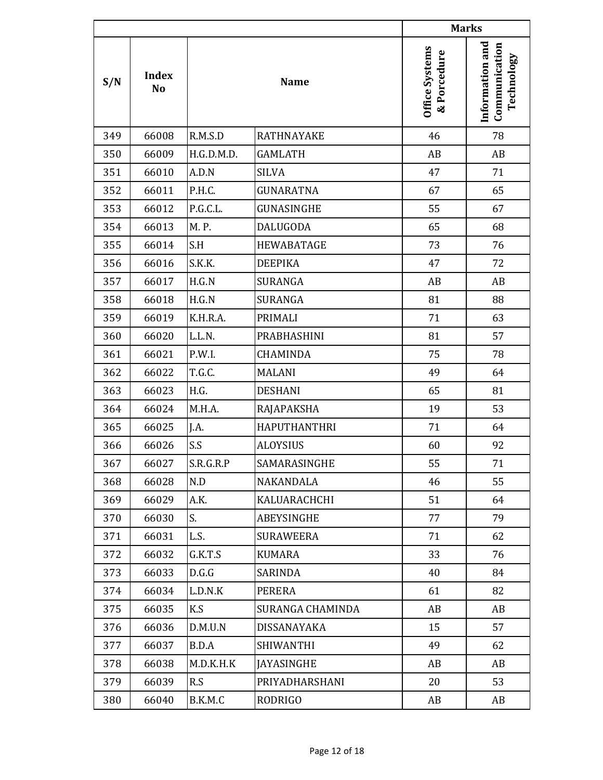|     |                                |            |                     |                               | <b>Marks</b>                                   |
|-----|--------------------------------|------------|---------------------|-------------------------------|------------------------------------------------|
| S/N | <b>Index</b><br>N <sub>o</sub> |            | <b>Name</b>         | Office Systems<br>& Porcedure | Information and<br>Communication<br>Technology |
| 349 | 66008                          | R.M.S.D    | <b>RATHNAYAKE</b>   | 46                            | 78                                             |
| 350 | 66009                          | H.G.D.M.D. | <b>GAMLATH</b>      | AB                            | AB                                             |
| 351 | 66010                          | A.D.N      | <b>SILVA</b>        | 47                            | 71                                             |
| 352 | 66011                          | P.H.C.     | <b>GUNARATNA</b>    | 67                            | 65                                             |
| 353 | 66012                          | P.G.C.L.   | GUNASINGHE          | 55                            | 67                                             |
| 354 | 66013                          | M. P.      | <b>DALUGODA</b>     | 65                            | 68                                             |
| 355 | 66014                          | S.H        | <b>HEWABATAGE</b>   | 73                            | 76                                             |
| 356 | 66016                          | S.K.K.     | <b>DEEPIKA</b>      | 47                            | 72                                             |
| 357 | 66017                          | H.G.N      | <b>SURANGA</b>      | AB                            | AB                                             |
| 358 | 66018                          | H.G.N      | <b>SURANGA</b>      | 81                            | 88                                             |
| 359 | 66019                          | K.H.R.A.   | <b>PRIMALI</b>      | 71                            | 63                                             |
| 360 | 66020                          | L.L.N.     | PRABHASHINI         | 81                            | 57                                             |
| 361 | 66021                          | P.W.I.     | <b>CHAMINDA</b>     | 75                            | 78                                             |
| 362 | 66022                          | T.G.C.     | <b>MALANI</b>       | 49                            | 64                                             |
| 363 | 66023                          | H.G.       | <b>DESHANI</b>      | 65                            | 81                                             |
| 364 | 66024                          | M.H.A.     | RAJAPAKSHA          | 19                            | 53                                             |
| 365 | 66025                          | J.A.       | <b>HAPUTHANTHRI</b> | 71                            | 64                                             |
| 366 | 66026                          | S.S        | <b>ALOYSIUS</b>     | 60                            | 92                                             |
| 367 | 66027                          | S.R.G.R.P  | SAMARASINGHE        | 55                            | 71                                             |
| 368 | 66028                          | N.D        | NAKANDALA           | 46                            | 55                                             |
| 369 | 66029                          | A.K.       | KALUARACHCHI        | 51                            | 64                                             |
| 370 | 66030                          | S.         | ABEYSINGHE          | 77                            | 79                                             |
| 371 | 66031                          | L.S.       | <b>SURAWEERA</b>    | 71                            | 62                                             |
| 372 | 66032                          | G.K.T.S    | <b>KUMARA</b>       | 33                            | 76                                             |
| 373 | 66033                          | D.G.G      | SARINDA             | 40                            | 84                                             |
| 374 | 66034                          | L.D.N.K    | PERERA              | 61                            | 82                                             |
| 375 | 66035                          | K.S        | SURANGA CHAMINDA    | AB                            | AB                                             |
| 376 | 66036                          | D.M.U.N    | DISSANAYAKA         | 15                            | 57                                             |
| 377 | 66037                          | B.D.A      | <b>SHIWANTHI</b>    | 49                            | 62                                             |
| 378 | 66038                          | M.D.K.H.K  | <b>JAYASINGHE</b>   | AB                            | AB                                             |
| 379 | 66039                          | R.S        | PRIYADHARSHANI      | 20                            | 53                                             |
| 380 | 66040                          | B.K.M.C    | <b>RODRIGO</b>      | AB                            | AB                                             |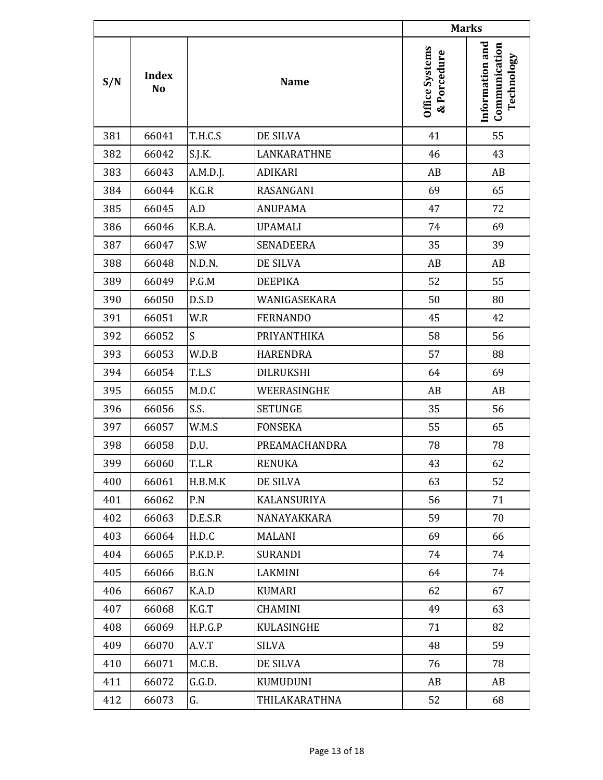|     |                                |          |                  | <b>Marks</b>                         |                                                |
|-----|--------------------------------|----------|------------------|--------------------------------------|------------------------------------------------|
| S/N | <b>Index</b><br>N <sub>o</sub> |          | <b>Name</b>      | <b>Office Systems</b><br>& Porcedure | Information and<br>Communication<br>Technology |
| 381 | 66041                          | T.H.C.S  | DE SILVA         | 41                                   | 55                                             |
| 382 | 66042                          | S.J.K.   | LANKARATHNE      | 46                                   | 43                                             |
| 383 | 66043                          | A.M.D.J. | <b>ADIKARI</b>   | AB                                   | AB                                             |
| 384 | 66044                          | K.G.R    | RASANGANI        | 69                                   | 65                                             |
| 385 | 66045                          | A.D      | <b>ANUPAMA</b>   | 47                                   | 72                                             |
| 386 | 66046                          | K.B.A.   | <b>UPAMALI</b>   | 74                                   | 69                                             |
| 387 | 66047                          | S.W      | <b>SENADEERA</b> | 35                                   | 39                                             |
| 388 | 66048                          | N.D.N.   | DE SILVA         | AB                                   | AB                                             |
| 389 | 66049                          | P.G.M    | <b>DEEPIKA</b>   | 52                                   | 55                                             |
| 390 | 66050                          | D.S.D    | WANIGASEKARA     | 50                                   | 80                                             |
| 391 | 66051                          | W.R      | <b>FERNANDO</b>  | 45                                   | 42                                             |
| 392 | 66052                          | S        | PRIYANTHIKA      | 58                                   | 56                                             |
| 393 | 66053                          | W.D.B    | <b>HARENDRA</b>  | 57                                   | 88                                             |
| 394 | 66054                          | T.L.S    | <b>DILRUKSHI</b> | 64                                   | 69                                             |
| 395 | 66055                          | M.D.C    | WEERASINGHE      | AB                                   | AB                                             |
| 396 | 66056                          | S.S.     | <b>SETUNGE</b>   | 35                                   | 56                                             |
| 397 | 66057                          | W.M.S    | <b>FONSEKA</b>   | 55                                   | 65                                             |
| 398 | 66058                          | D.U.     | PREAMACHANDRA    | 78                                   | 78                                             |
| 399 | 66060                          | T.L.R    | <b>RENUKA</b>    | 43                                   | 62                                             |
| 400 | 66061                          | H.B.M.K  | DE SILVA         | 63                                   | 52                                             |
| 401 | 66062                          | P.N      | KALANSURIYA      | 56                                   | 71                                             |
| 402 | 66063                          | D.E.S.R  | NANAYAKKARA      | 59                                   | 70                                             |
| 403 | 66064                          | H.D.C    | <b>MALANI</b>    | 69                                   | 66                                             |
| 404 | 66065                          | P.K.D.P. | <b>SURANDI</b>   | 74                                   | 74                                             |
| 405 | 66066                          | B.G.N    | LAKMINI          | 64                                   | 74                                             |
| 406 | 66067                          | K.A.D    | <b>KUMARI</b>    | 62                                   | 67                                             |
| 407 | 66068                          | K.G.T    | <b>CHAMINI</b>   | 49                                   | 63                                             |
| 408 | 66069                          | H.P.G.P  | KULASINGHE       | 71                                   | 82                                             |
| 409 | 66070                          | A.V.T    | <b>SILVA</b>     | 48                                   | 59                                             |
| 410 | 66071                          | M.C.B.   | DE SILVA         | 76                                   | 78                                             |
| 411 | 66072                          | G.G.D.   | KUMUDUNI         | AB                                   | AB                                             |
| 412 | 66073                          | G.       | THILAKARATHNA    | 52                                   | 68                                             |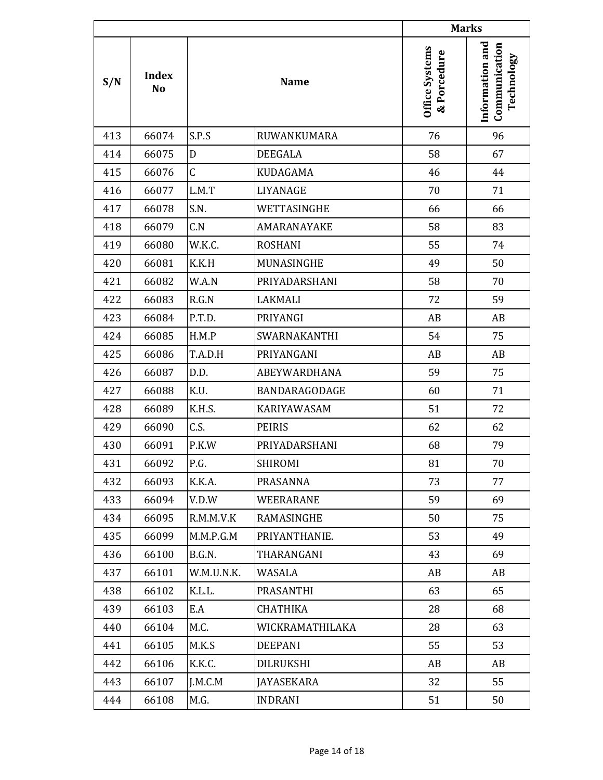|     |                                |            |                      | <b>Marks</b>                  |                                                |
|-----|--------------------------------|------------|----------------------|-------------------------------|------------------------------------------------|
| S/N | <b>Index</b><br>N <sub>o</sub> |            | <b>Name</b>          | Office Systems<br>& Porcedure | Information and<br>Communication<br>Technology |
| 413 | 66074                          | S.P.S      | RUWANKUMARA          | 76                            | 96                                             |
| 414 | 66075                          | D          | <b>DEEGALA</b>       | 58                            | 67                                             |
| 415 | 66076                          | C          | KUDAGAMA             | 46                            | 44                                             |
| 416 | 66077                          | L.M.T      | <b>LIYANAGE</b>      | 70                            | 71                                             |
| 417 | 66078                          | S.N.       | WETTASINGHE          | 66                            | 66                                             |
| 418 | 66079                          | C.N        | AMARANAYAKE          | 58                            | 83                                             |
| 419 | 66080                          | W.K.C.     | <b>ROSHANI</b>       | 55                            | 74                                             |
| 420 | 66081                          | K.K.H      | MUNASINGHE           | 49                            | 50                                             |
| 421 | 66082                          | W.A.N      | PRIYADARSHANI        | 58                            | 70                                             |
| 422 | 66083                          | R.G.N      | <b>LAKMALI</b>       | 72                            | 59                                             |
| 423 | 66084                          | P.T.D.     | PRIYANGI             | AB                            | AB                                             |
| 424 | 66085                          | H.M.P      | SWARNAKANTHI         | 54                            | 75                                             |
| 425 | 66086                          | T.A.D.H    | PRIYANGANI           | AB                            | AB                                             |
| 426 | 66087                          | D.D.       | ABEYWARDHANA         | 59                            | 75                                             |
| 427 | 66088                          | K.U.       | <b>BANDARAGODAGE</b> | 60                            | 71                                             |
| 428 | 66089                          | K.H.S.     | KARIYAWASAM          | 51                            | 72                                             |
| 429 | 66090                          | C.S.       | <b>PEIRIS</b>        | 62                            | 62                                             |
| 430 | 66091                          | P.K.W      | PRIYADARSHANI        | 68                            | 79                                             |
| 431 | 66092                          | P.G.       | SHIROMI              | 81                            | 70                                             |
| 432 | 66093                          | K.K.A.     | PRASANNA             | 73                            | 77                                             |
| 433 | 66094                          | V.D.W      | WEERARANE            | 59                            | 69                                             |
| 434 | 66095                          | R.M.M.V.K  | RAMASINGHE           | 50                            | 75                                             |
| 435 | 66099                          | M.M.P.G.M  | PRIYANTHANIE.        | 53                            | 49                                             |
| 436 | 66100                          | B.G.N.     | THARANGANI           | 43                            | 69                                             |
| 437 | 66101                          | W.M.U.N.K. | WASALA               | AB                            | AB                                             |
| 438 | 66102                          | K.L.L.     | PRASANTHI            | 63                            | 65                                             |
| 439 | 66103                          | E.A        | <b>CHATHIKA</b>      | 28                            | 68                                             |
| 440 | 66104                          | M.C.       | WICKRAMATHILAKA      | 28                            | 63                                             |
| 441 | 66105                          | M.K.S      | <b>DEEPANI</b>       | 55                            | 53                                             |
| 442 | 66106                          | K.K.C.     | DILRUKSHI            | AB                            | AB                                             |
| 443 | 66107                          | J.M.C.M    | <b>JAYASEKARA</b>    | 32                            | 55                                             |
| 444 | 66108                          | M.G.       | <b>INDRANI</b>       | 51                            | 50                                             |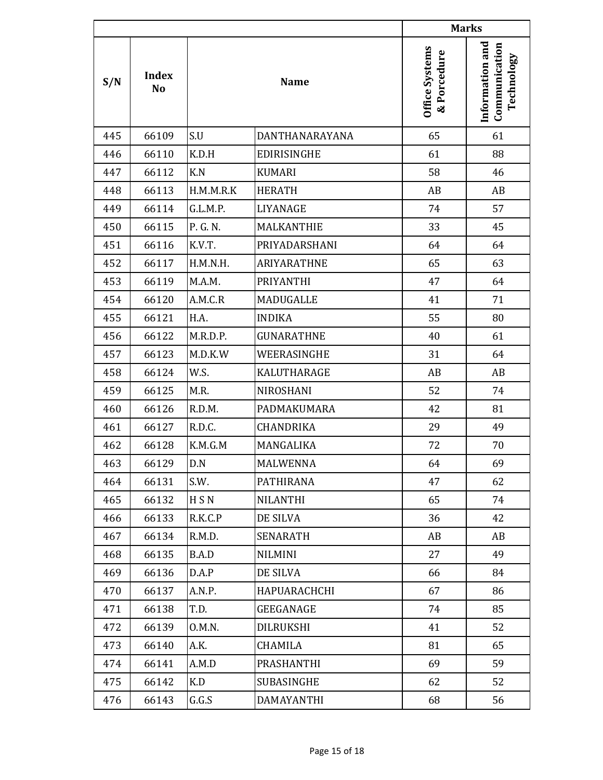|     |                                |           |                    | <b>Marks</b>                  |                                                |
|-----|--------------------------------|-----------|--------------------|-------------------------------|------------------------------------------------|
| S/N | <b>Index</b><br>N <sub>o</sub> |           | <b>Name</b>        | Office Systems<br>& Porcedure | Information and<br>Communication<br>Technology |
| 445 | 66109                          | S.U       | DANTHANARAYANA     | 65                            | 61                                             |
| 446 | 66110                          | K.D.H     | <b>EDIRISINGHE</b> | 61                            | 88                                             |
| 447 | 66112                          | K.N       | <b>KUMARI</b>      | 58                            | 46                                             |
| 448 | 66113                          | H.M.M.R.K | <b>HERATH</b>      | AB                            | AB                                             |
| 449 | 66114                          | G.L.M.P.  | LIYANAGE           | 74                            | 57                                             |
| 450 | 66115                          | P. G. N.  | MALKANTHIE         | 33                            | 45                                             |
| 451 | 66116                          | K.V.T.    | PRIYADARSHANI      | 64                            | 64                                             |
| 452 | 66117                          | H.M.N.H.  | <b>ARIYARATHNE</b> | 65                            | 63                                             |
| 453 | 66119                          | M.A.M.    | <b>PRIYANTHI</b>   | 47                            | 64                                             |
| 454 | 66120                          | A.M.C.R   | <b>MADUGALLE</b>   | 41                            | 71                                             |
| 455 | 66121                          | H.A.      | <b>INDIKA</b>      | 55                            | 80                                             |
| 456 | 66122                          | M.R.D.P.  | <b>GUNARATHNE</b>  | 40                            | 61                                             |
| 457 | 66123                          | M.D.K.W   | WEERASINGHE        | 31                            | 64                                             |
| 458 | 66124                          | W.S.      | KALUTHARAGE        | AB                            | AB                                             |
| 459 | 66125                          | M.R.      | NIROSHANI          | 52                            | 74                                             |
| 460 | 66126                          | R.D.M.    | PADMAKUMARA        | 42                            | 81                                             |
| 461 | 66127                          | R.D.C.    | CHANDRIKA          | 29                            | 49                                             |
| 462 | 66128                          | K.M.G.M   | MANGALIKA          | 72                            | 70                                             |
| 463 | 66129                          | D.N       | MALWENNA           | 64                            | 69                                             |
| 464 | 66131                          | S.W.      | <b>PATHIRANA</b>   | 47                            | 62                                             |
| 465 | 66132                          | H S N     | <b>NILANTHI</b>    | 65                            | 74                                             |
| 466 | 66133                          | R.K.C.P   | DE SILVA           | 36                            | 42                                             |
| 467 | 66134                          | R.M.D.    | <b>SENARATH</b>    | AB                            | AB                                             |
| 468 | 66135                          | B.A.D     | <b>NILMINI</b>     | 27                            | 49                                             |
| 469 | 66136                          | D.A.P     | DE SILVA           | 66                            | 84                                             |
| 470 | 66137                          | A.N.P.    | HAPUARACHCHI       | 67                            | 86                                             |
| 471 | 66138                          | T.D.      | GEEGANAGE          | 74                            | 85                                             |
| 472 | 66139                          | 0.M.N.    | DILRUKSHI          | 41                            | 52                                             |
| 473 | 66140                          | A.K.      | CHAMILA            | 81                            | 65                                             |
| 474 | 66141                          | A.M.D     | PRASHANTHI         | 69                            | 59                                             |
| 475 | 66142                          | K.D       | SUBASINGHE         | 62                            | 52                                             |
| 476 | 66143                          | G.G.S     | DAMAYANTHI         | 68                            | 56                                             |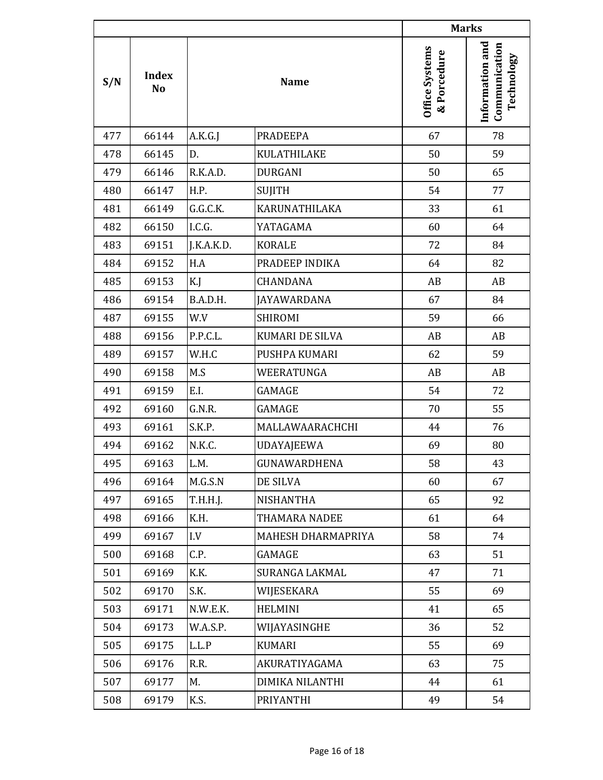|                           |       |             |                    | <b>Marks</b>                         |                                                |
|---------------------------|-------|-------------|--------------------|--------------------------------------|------------------------------------------------|
| <b>Index</b><br>S/N<br>No |       | <b>Name</b> |                    | <b>Office Systems</b><br>& Porcedure | Information and<br>Communication<br>Technology |
| 477                       | 66144 | A.K.G.J     | <b>PRADEEPA</b>    | 67                                   | 78                                             |
| 478                       | 66145 | D.          | <b>KULATHILAKE</b> | 50                                   | 59                                             |
| 479                       | 66146 | R.K.A.D.    | <b>DURGANI</b>     | 50                                   | 65                                             |
| 480                       | 66147 | H.P.        | <b>SUJITH</b>      | 54                                   | 77                                             |
| 481                       | 66149 | G.G.C.K.    | KARUNATHILAKA      | 33                                   | 61                                             |
| 482                       | 66150 | I.C.G.      | YATAGAMA           | 60                                   | 64                                             |
| 483                       | 69151 | J.K.A.K.D.  | <b>KORALE</b>      | 72                                   | 84                                             |
| 484                       | 69152 | H.A         | PRADEEP INDIKA     | 64                                   | 82                                             |
| 485                       | 69153 | K.J         | CHANDANA           | AB                                   | AB                                             |
| 486                       | 69154 | B.A.D.H.    | <b>JAYAWARDANA</b> | 67                                   | 84                                             |
| 487                       | 69155 | W.V         | <b>SHIROMI</b>     | 59                                   | 66                                             |
| 488                       | 69156 | P.P.C.L.    | KUMARI DE SILVA    | AB                                   | AB                                             |
| 489                       | 69157 | W.H.C       | PUSHPA KUMARI      | 62                                   | 59                                             |
| 490                       | 69158 | M.S         | WEERATUNGA         | AB                                   | AB                                             |
| 491                       | 69159 | E.I.        | <b>GAMAGE</b>      | 54                                   | 72                                             |
| 492                       | 69160 | G.N.R.      | <b>GAMAGE</b>      | 70                                   | 55                                             |
| 493                       | 69161 | S.K.P.      | MALLAWAARACHCHI    | 44                                   | 76                                             |
| 494                       | 69162 | N.K.C.      | <b>UDAYAJEEWA</b>  | 69                                   | 80                                             |
| 495                       | 69163 | L.M.        | GUNAWARDHENA       | 58                                   | 43                                             |
| 496                       | 69164 | M.G.S.N     | DE SILVA           | 60                                   | 67                                             |
| 497                       | 69165 | T.H.H.J.    | <b>NISHANTHA</b>   | 65                                   | 92                                             |
| 498                       | 69166 | K.H.        | THAMARA NADEE      | 61                                   | 64                                             |
| 499                       | 69167 | I.V         | MAHESH DHARMAPRIYA | 58                                   | 74                                             |
| 500                       | 69168 | C.P.        | GAMAGE             | 63                                   | 51                                             |
| 501                       | 69169 | K.K.        | SURANGA LAKMAL     | 47                                   | 71                                             |
| 502                       | 69170 | S.K.        | WIJESEKARA         | 55                                   | 69                                             |
| 503                       | 69171 | N.W.E.K.    | <b>HELMINI</b>     | 41                                   | 65                                             |
| 504                       | 69173 | W.A.S.P.    | WIJAYASINGHE       | 36                                   | 52                                             |
| 505                       | 69175 | L.L.P       | KUMARI             | 55                                   | 69                                             |
| 506                       | 69176 | R.R.        | AKURATIYAGAMA      | 63                                   | 75                                             |
| 507                       | 69177 | M.          | DIMIKA NILANTHI    | 44                                   | 61                                             |
| 508                       | 69179 | K.S.        | PRIYANTHI          | 49                                   | 54                                             |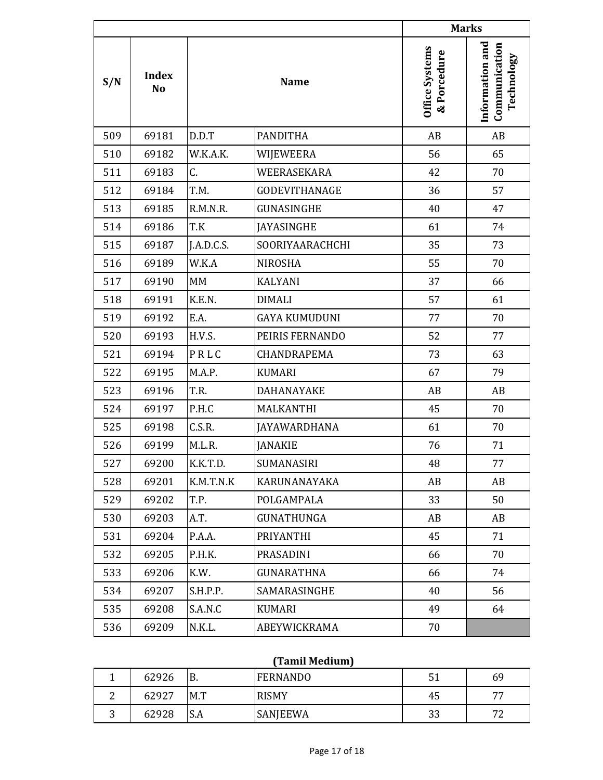|     |                                |            |                      | <b>Marks</b>                  |                                                |
|-----|--------------------------------|------------|----------------------|-------------------------------|------------------------------------------------|
| S/N | <b>Index</b><br>N <sub>o</sub> |            | <b>Name</b>          | Office Systems<br>& Porcedure | Information and<br>Communication<br>Technology |
| 509 | 69181                          | D.D.T      | <b>PANDITHA</b>      | AB                            | AB                                             |
| 510 | 69182                          | W.K.A.K.   | WIJEWEERA            | 56                            | 65                                             |
| 511 | 69183                          | C.         | WEERASEKARA          | 42                            | 70                                             |
| 512 | 69184                          | T.M.       | <b>GODEVITHANAGE</b> | 36                            | 57                                             |
| 513 | 69185                          | R.M.N.R.   | GUNASINGHE           | 40                            | 47                                             |
| 514 | 69186                          | T.K        | <b>JAYASINGHE</b>    | 61                            | 74                                             |
| 515 | 69187                          | J.A.D.C.S. | SOORIYAARACHCHI      | 35                            | 73                                             |
| 516 | 69189                          | W.K.A      | <b>NIROSHA</b>       | 55                            | 70                                             |
| 517 | 69190                          | MM         | <b>KALYANI</b>       | 37                            | 66                                             |
| 518 | 69191                          | K.E.N.     | <b>DIMALI</b>        | 57                            | 61                                             |
| 519 | 69192                          | E.A.       | <b>GAYA KUMUDUNI</b> | 77                            | 70                                             |
| 520 | 69193                          | H.V.S.     | PEIRIS FERNANDO      | 52                            | 77                                             |
| 521 | 69194                          | PRLC       | CHANDRAPEMA          | 73                            | 63                                             |
| 522 | 69195                          | M.A.P.     | <b>KUMARI</b>        | 67                            | 79                                             |
| 523 | 69196                          | T.R.       | DAHANAYAKE           | AB                            | AB                                             |
| 524 | 69197                          | P.H.C      | MALKANTHI            | 45                            | 70                                             |
| 525 | 69198                          | C.S.R.     | <b>JAYAWARDHANA</b>  | 61                            | 70                                             |
| 526 | 69199                          | M.L.R.     | <b>JANAKIE</b>       | 76                            | 71                                             |
| 527 | 69200                          | K.K.T.D.   | SUMANASIRI           | 48                            | 77                                             |
| 528 | 69201                          | K.M.T.N.K  | KARUNANAYAKA         | AB                            | AB                                             |
| 529 | 69202                          | T.P.       | POLGAMPALA           | 33                            | 50                                             |
| 530 | 69203                          | A.T.       | <b>GUNATHUNGA</b>    | AB                            | AB                                             |
| 531 | 69204                          | P.A.A.     | PRIYANTHI            | 45                            | 71                                             |
| 532 | 69205                          | P.H.K.     | PRASADINI            | 66                            | 70                                             |
| 533 | 69206                          | K.W.       | <b>GUNARATHNA</b>    | 66                            | 74                                             |
| 534 | 69207                          | S.H.P.P.   | SAMARASINGHE         | 40                            | 56                                             |
| 535 | 69208                          | S.A.N.C    | KUMARI               | 49                            | 64                                             |
| 536 | 69209                          | N.K.L.     | ABEYWICKRAMA         | 70                            |                                                |

## **(Tamil Medium)**

|   | 62926 | В.             | <b>FERNANDO</b> | 51<br>◡┸ | 69                |
|---|-------|----------------|-----------------|----------|-------------------|
| ∼ | 62927 | M.T            | <b>RISMY</b>    | 45       | <b>__</b>         |
| ັ | 62928 | $\sim$<br>.J.A | <b>SANJEEWA</b> | 33       | $\mathbf{a}$<br>∼ |